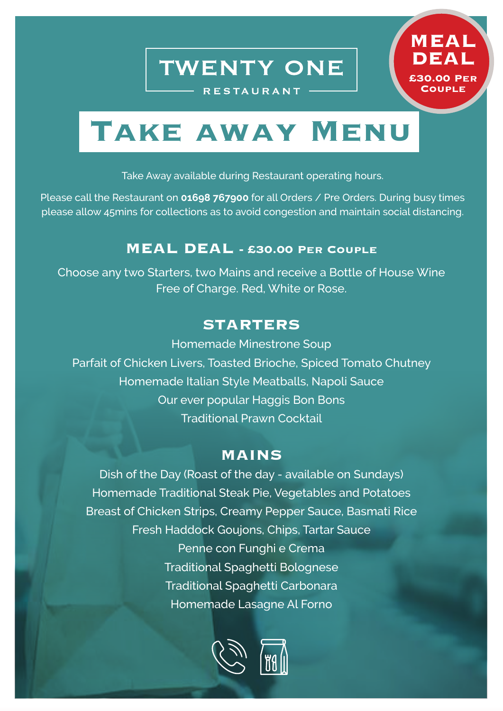**TWENTY ONE** 

**RESTAURANT** 

**MEAL** 

**£30.00 Per Couple**

**DEA** 

# **Take away Menu**

Take Away available during Restaurant operating hours.

Please call the Restaurant on **01698 767900** for all Orders / Pre Orders. During busy times please allow 45mins for collections as to avoid congestion and maintain social distancing.

## **MEAL DEAL - £30.00 Per Couple**

Choose any two Starters, two Mains and receive a Bottle of House Wine Free of Charge. Red, White or Rose.

## **STARTERS**

Homemade Minestrone Soup Parfait of Chicken Livers, Toasted Brioche, Spiced Tomato Chutney Homemade Italian Style Meatballs, Napoli Sauce Our ever popular Haggis Bon Bons Traditional Prawn Cocktail

## **MAINS**

Dish of the Day (Roast of the day - available on Sundays) Homemade Traditional Steak Pie, Vegetables and Potatoes Breast of Chicken Strips, Creamy Pepper Sauce, Basmati Rice Fresh Haddock Goujons, Chips, Tartar Sauce Penne con Funghi e Crema Traditional Spaghetti Bolognese Traditional Spaghetti Carbonara Homemade Lasagne Al Forno